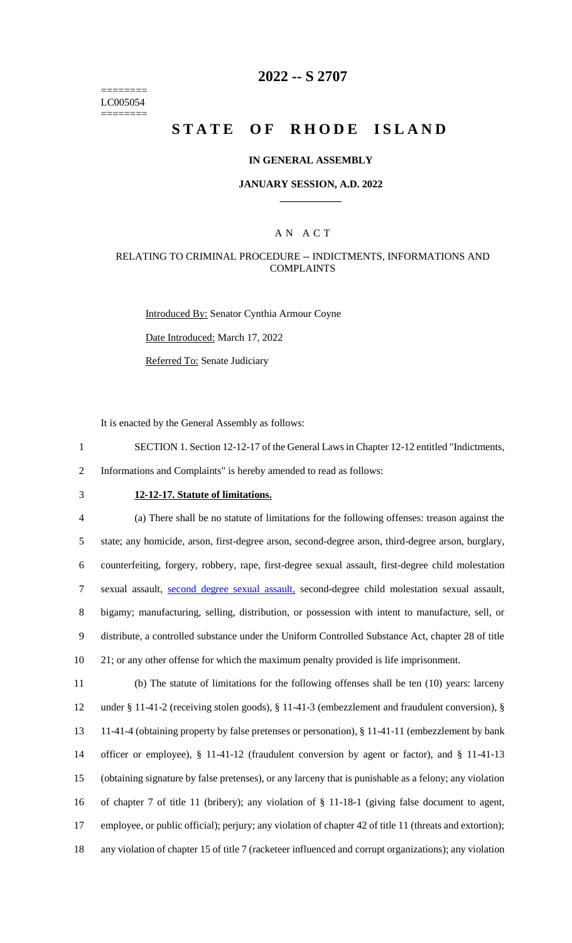======== LC005054 ========

# **2022 -- S 2707**

# **STATE OF RHODE ISLAND**

### **IN GENERAL ASSEMBLY**

### **JANUARY SESSION, A.D. 2022 \_\_\_\_\_\_\_\_\_\_\_\_**

### A N A C T

### RELATING TO CRIMINAL PROCEDURE -- INDICTMENTS, INFORMATIONS AND COMPLAINTS

Introduced By: Senator Cynthia Armour Coyne Date Introduced: March 17, 2022

Referred To: Senate Judiciary

It is enacted by the General Assembly as follows:

1 SECTION 1. Section 12-12-17 of the General Laws in Chapter 12-12 entitled "Indictments,

2 Informations and Complaints" is hereby amended to read as follows:

# 3 **12-12-17. Statute of limitations.**

 (a) There shall be no statute of limitations for the following offenses: treason against the state; any homicide, arson, first-degree arson, second-degree arson, third-degree arson, burglary, counterfeiting, forgery, robbery, rape, first-degree sexual assault, first-degree child molestation sexual assault, second degree sexual assault, second-degree child molestation sexual assault, bigamy; manufacturing, selling, distribution, or possession with intent to manufacture, sell, or distribute, a controlled substance under the Uniform Controlled Substance Act, chapter 28 of title 10 21; or any other offense for which the maximum penalty provided is life imprisonment. (b) The statute of limitations for the following offenses shall be ten (10) years: larceny

 under § 11-41-2 (receiving stolen goods), § 11-41-3 (embezzlement and fraudulent conversion), § 11-41-4 (obtaining property by false pretenses or personation), § 11-41-11 (embezzlement by bank officer or employee), § 11-41-12 (fraudulent conversion by agent or factor), and § 11-41-13 (obtaining signature by false pretenses), or any larceny that is punishable as a felony; any violation of chapter 7 of title 11 (bribery); any violation of § 11-18-1 (giving false document to agent, employee, or public official); perjury; any violation of chapter 42 of title 11 (threats and extortion); any violation of chapter 15 of title 7 (racketeer influenced and corrupt organizations); any violation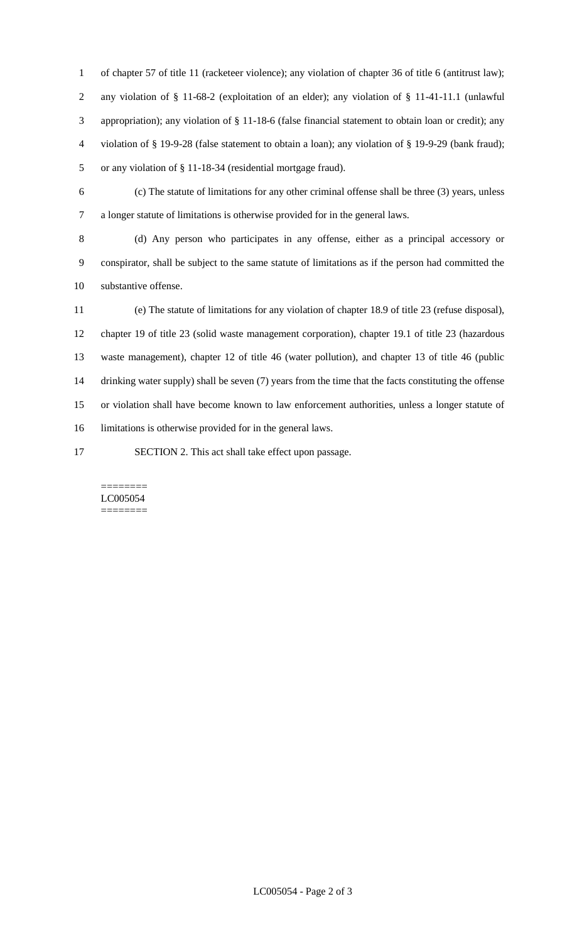of chapter 57 of title 11 (racketeer violence); any violation of chapter 36 of title 6 (antitrust law); any violation of § 11-68-2 (exploitation of an elder); any violation of § 11-41-11.1 (unlawful appropriation); any violation of § 11-18-6 (false financial statement to obtain loan or credit); any violation of § 19-9-28 (false statement to obtain a loan); any violation of § 19-9-29 (bank fraud); or any violation of § 11-18-34 (residential mortgage fraud).

 (c) The statute of limitations for any other criminal offense shall be three (3) years, unless a longer statute of limitations is otherwise provided for in the general laws.

 (d) Any person who participates in any offense, either as a principal accessory or conspirator, shall be subject to the same statute of limitations as if the person had committed the substantive offense.

 (e) The statute of limitations for any violation of chapter 18.9 of title 23 (refuse disposal), chapter 19 of title 23 (solid waste management corporation), chapter 19.1 of title 23 (hazardous waste management), chapter 12 of title 46 (water pollution), and chapter 13 of title 46 (public drinking water supply) shall be seven (7) years from the time that the facts constituting the offense or violation shall have become known to law enforcement authorities, unless a longer statute of limitations is otherwise provided for in the general laws.

SECTION 2. This act shall take effect upon passage.

#### ======== LC005054 ========